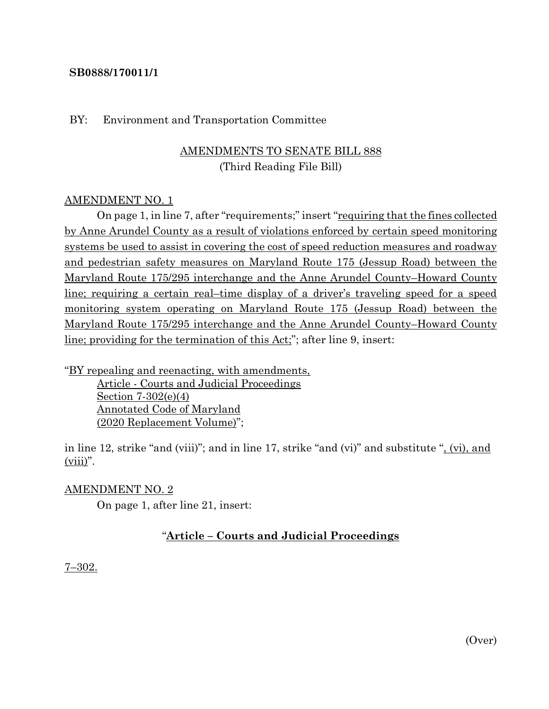## **SB0888/170011/1**

#### BY: Environment and Transportation Committee

# AMENDMENTS TO SENATE BILL 888 (Third Reading File Bill)

## AMENDMENT NO. 1

On page 1, in line 7, after "requirements;" insert "<u>requiring that the fines collected</u> by Anne Arundel County as a result of violations enforced by certain speed monitoring systems be used to assist in covering the cost of speed reduction measures and roadway and pedestrian safety measures on Maryland Route 175 (Jessup Road) between the Maryland Route 175/295 interchange and the Anne Arundel County–Howard County line; requiring a certain real–time display of a driver's traveling speed for a speed monitoring system operating on Maryland Route 175 (Jessup Road) between the Maryland Route 175/295 interchange and the Anne Arundel County–Howard County line; providing for the termination of this Act;"; after line 9, insert:

"BY repealing and reenacting, with amendments, Article - Courts and Judicial Proceedings Section 7-302(e)(4) Annotated Code of Maryland (2020 Replacement Volume)";

in line 12, strike "and (viii)"; and in line 17, strike "and (vi)" and substitute ", (vi), and  $(viii)$ ".

## AMENDMENT NO. 2

On page 1, after line 21, insert:

# "**Article – Courts and Judicial Proceedings**

#### 7–302.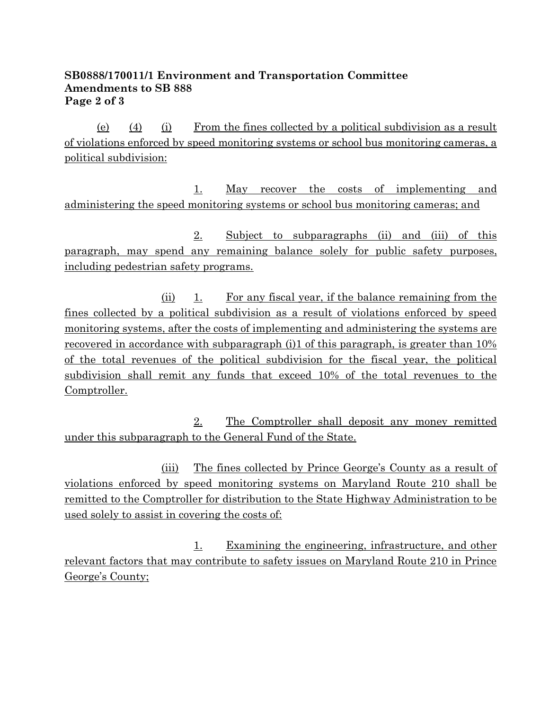# **SB0888/170011/1 Environment and Transportation Committee Amendments to SB 888 Page 2 of 3**

(e) (4) (i) From the fines collected by a political subdivision as a result of violations enforced by speed monitoring systems or school bus monitoring cameras, a political subdivision:

1. May recover the costs of implementing and administering the speed monitoring systems or school bus monitoring cameras; and

2. Subject to subparagraphs (ii) and (iii) of this paragraph, may spend any remaining balance solely for public safety purposes, including pedestrian safety programs.

(ii) 1. For any fiscal year, if the balance remaining from the fines collected by a political subdivision as a result of violations enforced by speed monitoring systems, after the costs of implementing and administering the systems are recovered in accordance with subparagraph (i)1 of this paragraph, is greater than 10% of the total revenues of the political subdivision for the fiscal year, the political subdivision shall remit any funds that exceed 10% of the total revenues to the Comptroller.

2. The Comptroller shall deposit any money remitted under this subparagraph to the General Fund of the State.

(iii) The fines collected by Prince George's County as a result of violations enforced by speed monitoring systems on Maryland Route 210 shall be remitted to the Comptroller for distribution to the State Highway Administration to be used solely to assist in covering the costs of:

1. Examining the engineering, infrastructure, and other relevant factors that may contribute to safety issues on Maryland Route 210 in Prince George's County;